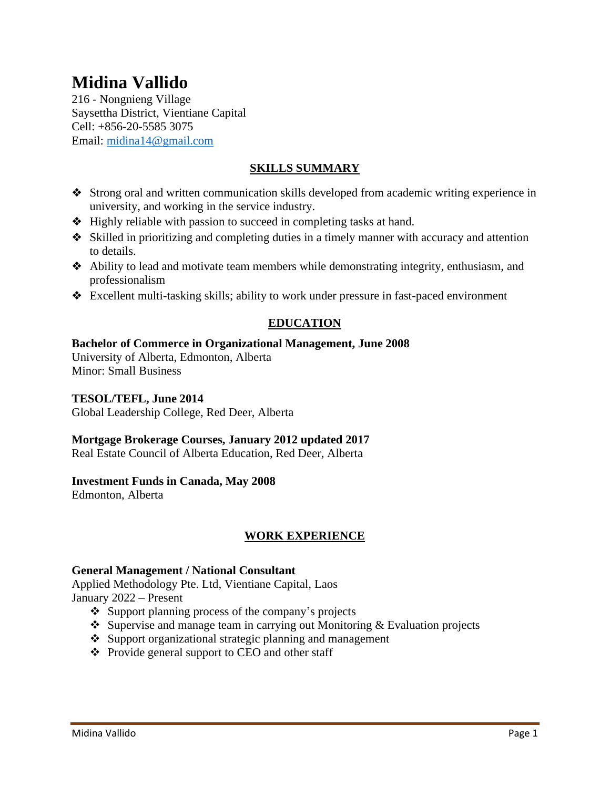# **Midina Vallido**

216 - Nongnieng Village Saysettha District, Vientiane Capital Cell: +856-20-5585 3075 Email: [midina14@gmail.com](mailto:midina14@gmail.com)

# **SKILLS SUMMARY**

- ❖ Strong oral and written communication skills developed from academic writing experience in university, and working in the service industry.
- ❖ Highly reliable with passion to succeed in completing tasks at hand.
- ❖ Skilled in prioritizing and completing duties in a timely manner with accuracy and attention to details.
- ❖ Ability to lead and motivate team members while demonstrating integrity, enthusiasm, and professionalism
- ❖ Excellent multi-tasking skills; ability to work under pressure in fast-paced environment

# **EDUCATION**

#### **Bachelor of Commerce in Organizational Management, June 2008**

University of Alberta, Edmonton, Alberta Minor: Small Business

#### **TESOL/TEFL, June 2014**

Global Leadership College, Red Deer, Alberta

#### **Mortgage Brokerage Courses, January 2012 updated 2017**

Real Estate Council of Alberta Education, Red Deer, Alberta

#### **Investment Funds in Canada, May 2008**

Edmonton, Alberta

# **WORK EXPERIENCE**

#### **General Management / National Consultant**

Applied Methodology Pte. Ltd, Vientiane Capital, Laos January 2022 – Present

- ❖ Support planning process of the company's projects
- ❖ Supervise and manage team in carrying out Monitoring & Evaluation projects
- ❖ Support organizational strategic planning and management
- ❖ Provide general support to CEO and other staff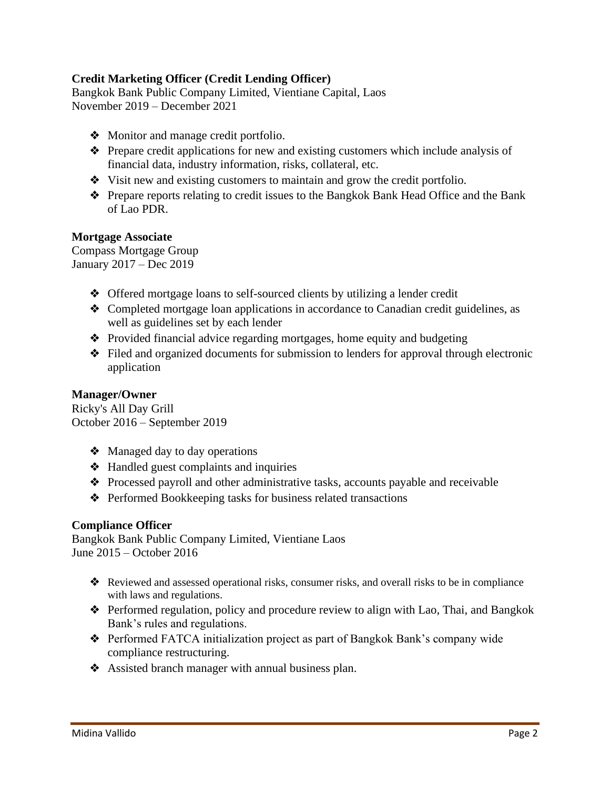# **Credit Marketing Officer (Credit Lending Officer)**

Bangkok Bank Public Company Limited, Vientiane Capital, Laos November 2019 – December 2021

- ❖ Monitor and manage credit portfolio.
- ❖ Prepare credit applications for new and existing customers which include analysis of financial data, industry information, risks, collateral, etc.
- ❖ Visit new and existing customers to maintain and grow the credit portfolio.
- ❖ Prepare reports relating to credit issues to the Bangkok Bank Head Office and the Bank of Lao PDR.

#### **Mortgage Associate**

Compass Mortgage Group January 2017 – Dec 2019

- ❖ Offered mortgage loans to self-sourced clients by utilizing a lender credit
- ❖ Completed mortgage loan applications in accordance to Canadian credit guidelines, as well as guidelines set by each lender
- ❖ Provided financial advice regarding mortgages, home equity and budgeting
- ❖ Filed and organized documents for submission to lenders for approval through electronic application

#### **Manager/Owner**

Ricky's All Day Grill October 2016 – September 2019

- ❖ Managed day to day operations
- ❖ Handled guest complaints and inquiries
- ❖ Processed payroll and other administrative tasks, accounts payable and receivable
- ❖ Performed Bookkeeping tasks for business related transactions

#### **Compliance Officer**

Bangkok Bank Public Company Limited, Vientiane Laos June 2015 – October 2016

- ❖ Reviewed and assessed operational risks, consumer risks, and overall risks to be in compliance with laws and regulations.
- ❖ Performed regulation, policy and procedure review to align with Lao, Thai, and Bangkok Bank's rules and regulations.
- ❖ Performed FATCA initialization project as part of Bangkok Bank's company wide compliance restructuring.
- ❖ Assisted branch manager with annual business plan.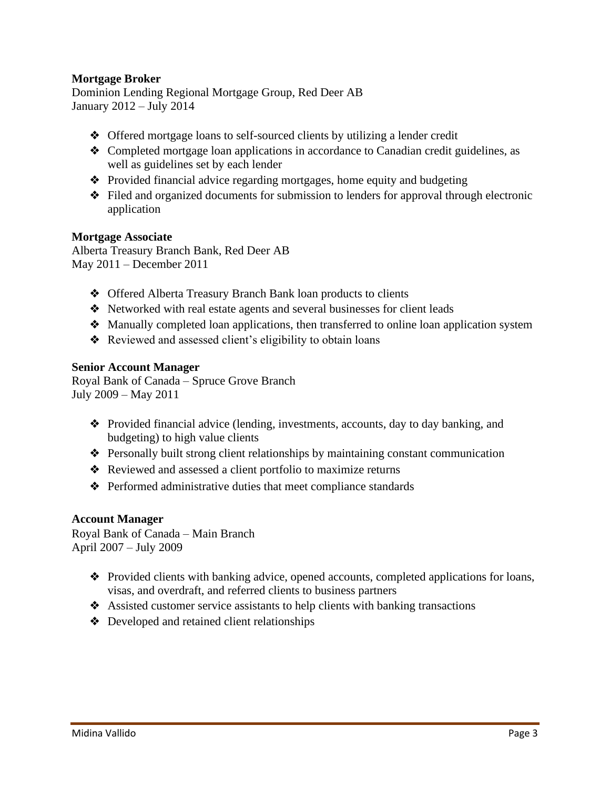#### **Mortgage Broker**

Dominion Lending Regional Mortgage Group, Red Deer AB January 2012 – July 2014

- ❖ Offered mortgage loans to self-sourced clients by utilizing a lender credit
- ❖ Completed mortgage loan applications in accordance to Canadian credit guidelines, as well as guidelines set by each lender
- ❖ Provided financial advice regarding mortgages, home equity and budgeting
- ❖ Filed and organized documents for submission to lenders for approval through electronic application

#### **Mortgage Associate**

Alberta Treasury Branch Bank, Red Deer AB May 2011 – December 2011

- ❖ Offered Alberta Treasury Branch Bank loan products to clients
- ❖ Networked with real estate agents and several businesses for client leads
- ❖ Manually completed loan applications, then transferred to online loan application system
- ❖ Reviewed and assessed client's eligibility to obtain loans

#### **Senior Account Manager**

Royal Bank of Canada – Spruce Grove Branch July 2009 – May 2011

- ❖ Provided financial advice (lending, investments, accounts, day to day banking, and budgeting) to high value clients
- ❖ Personally built strong client relationships by maintaining constant communication
- ❖ Reviewed and assessed a client portfolio to maximize returns
- ❖ Performed administrative duties that meet compliance standards

#### **Account Manager**

Royal Bank of Canada – Main Branch April 2007 – July 2009

- ❖ Provided clients with banking advice, opened accounts, completed applications for loans, visas, and overdraft, and referred clients to business partners
- ❖ Assisted customer service assistants to help clients with banking transactions
- ❖ Developed and retained client relationships